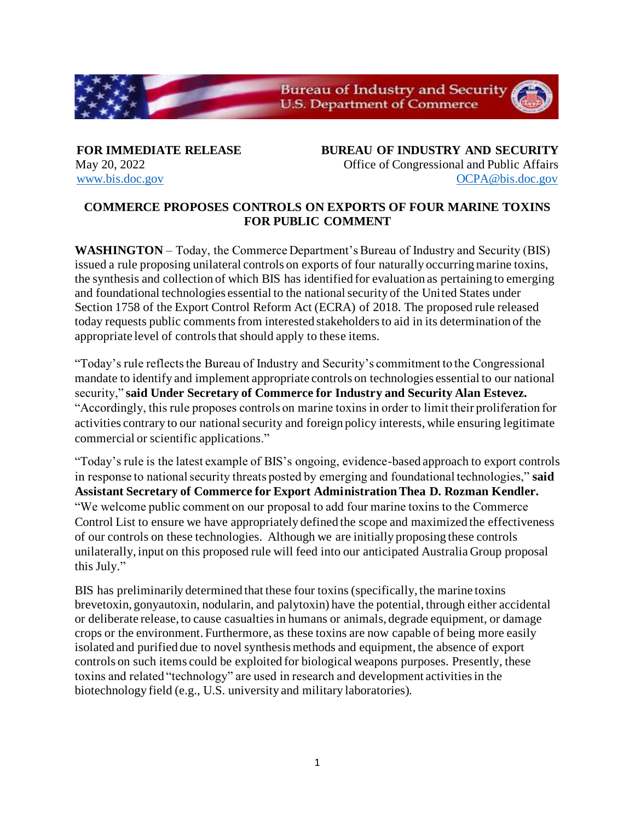

**FOR IMMEDIATE RELEASE BUREAU OF INDUSTRY AND SECURITY** May 20, 2022 **Office of Congressional and Public Affairs** [www.bis.doc.gov](http://www.bis.doc.gov/) [OCPA@bis.doc.gov](mailto:OCPA@bis.doc.gov)

## **COMMERCE PROPOSES CONTROLS ON EXPORTS OF FOUR MARINE TOXINS FOR PUBLIC COMMENT**

**WASHINGTON** – Today, the Commerce Department's Bureau of Industry and Security (BIS) issued a rule proposing unilateral controls on exports of four naturally occurring marine toxins, the synthesis and collection of which BIS has identified for evaluation as pertaining to emerging and foundational technologies essential to the national security of the United States under Section 1758 of the Export Control Reform Act (ECRA) of 2018. The proposed rule released today requests public comments from interested stakeholders to aid in its determination of the appropriate level of controls that should apply to these items.

"Today's rule reflects the Bureau of Industry and Security's commitment to the Congressional mandate to identify and implement appropriate controls on technologies essential to our national security," **said Under Secretary of Commerce for Industry and Security Alan Estevez.** "Accordingly, this rule proposes controls on marine toxins in order to limit their proliferation for activities contrary to our national security and foreign policy interests, while ensuring legitimate commercial or scientific applications."

"Today's rule is the latest example of BIS's ongoing, evidence-based approach to export controls in response to national security threats posted by emerging and foundational technologies," **said Assistant Secretary of Commerce for Export Administration Thea D. Rozman Kendler.**  "We welcome public comment on our proposal to add four marine toxins to the Commerce Control List to ensure we have appropriately defined the scope and maximized the effectiveness of our controls on these technologies. Although we are initially proposing these controls unilaterally, input on this proposed rule will feed into our anticipated Australia Group proposal this July."

BIS has preliminarily determined that these four toxins (specifically, the marine toxins brevetoxin, gonyautoxin, nodularin, and palytoxin) have the potential, through either accidental or deliberate release, to cause casualties in humans or animals, degrade equipment, or damage crops or the environment. Furthermore, as these toxins are now capable of being more easily isolated and purified due to novel synthesis methods and equipment, the absence of export controls on such items could be exploited for biological weapons purposes. Presently, these toxins and related "technology" are used in research and development activities in the biotechnology field (e.g., U.S. university and military laboratories).